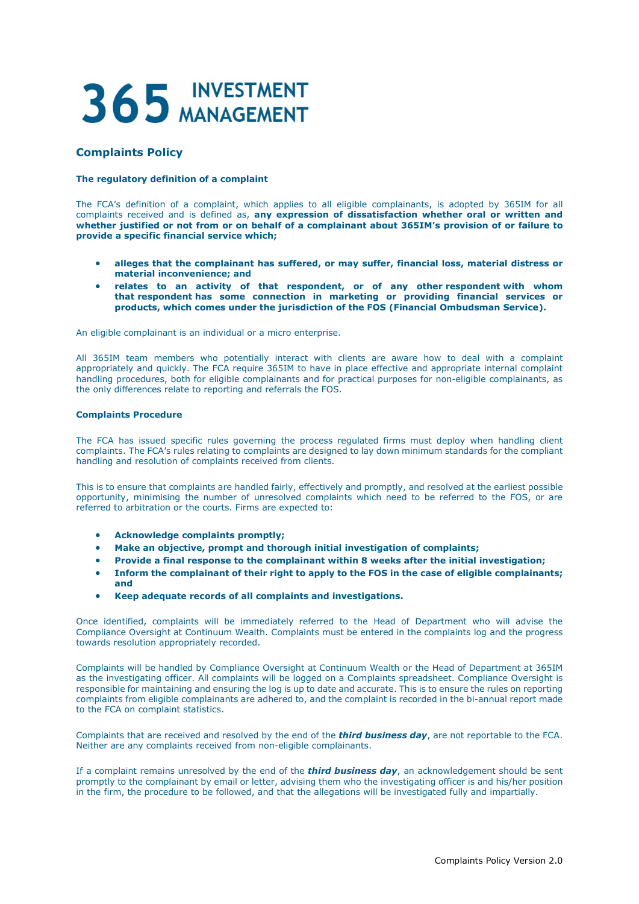## 365 INVESTMENT

## Complaints Policy

## The regulatory definition of a complaint

The FCA's definition of a complaint, which applies to all eligible complainants, is adopted by 365IM for all complaints received and is defined as, any expression of dissatisfaction whether oral or written and whether justified or not from or on behalf of a complainant about 365IM's provision of or failure to provide a specific financial service which;

- alleges that the complainant has suffered, or may suffer, financial loss, material distress or material inconvenience; and
- relates to an activity of that respondent, or of any other respondent with whom that respondent has some connection in marketing or providing financial services or products, which comes under the jurisdiction of the FOS (Financial Ombudsman Service).

An eligible complainant is an individual or a micro enterprise.

All 365IM team members who potentially interact with clients are aware how to deal with a complaint appropriately and quickly. The FCA require 365IM to have in place effective and appropriate internal complaint handling procedures, both for eligible complainants and for practical purposes for non-eligible complainants, as the only differences relate to reporting and referrals the FOS.

## Complaints Procedure

The FCA has issued specific rules governing the process regulated firms must deploy when handling client complaints. The FCA's rules relating to complaints are designed to lay down minimum standards for the compliant handling and resolution of complaints received from clients.

This is to ensure that complaints are handled fairly, effectively and promptly, and resolved at the earliest possible opportunity, minimising the number of unresolved complaints which need to be referred to the FOS, or are referred to arbitration or the courts. Firms are expected to:

- Acknowledge complaints promptly;
- Make an objective, prompt and thorough initial investigation of complaints;
- Provide a final response to the complainant within 8 weeks after the initial investigation;
- Inform the complainant of their right to apply to the FOS in the case of eligible complainants; and
- Keep adequate records of all complaints and investigations.

Once identified, complaints will be immediately referred to the Head of Department who will advise the Compliance Oversight at Continuum Wealth. Complaints must be entered in the complaints log and the progress towards resolution appropriately recorded.

Complaints will be handled by Compliance Oversight at Continuum Wealth or the Head of Department at 365IM as the investigating officer. All complaints will be logged on a Complaints spreadsheet. Compliance Oversight is responsible for maintaining and ensuring the log is up to date and accurate. This is to ensure the rules on reporting complaints from eligible complainants are adhered to, and the complaint is recorded in the bi-annual report made to the FCA on complaint statistics.

Complaints that are received and resolved by the end of the *third business day*, are not reportable to the FCA. Neither are any complaints received from non-eligible complainants.

If a complaint remains unresolved by the end of the **third business day**, an acknowledgement should be sent promptly to the complainant by email or letter, advising them who the investigating officer is and his/her position in the firm, the procedure to be followed, and that the allegations will be investigated fully and impartially.